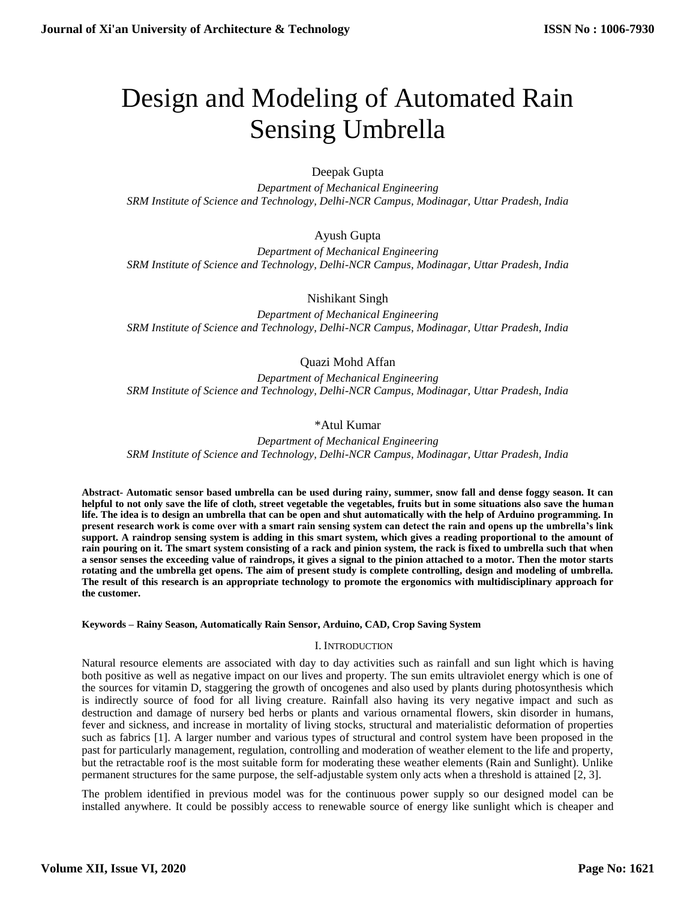# Design and Modeling of Automated Rain Sensing Umbrella

Deepak Gupta

*Department of Mechanical Engineering SRM Institute of Science and Technology, Delhi-NCR Campus, Modinagar, Uttar Pradesh, India*

## Ayush Gupta

*Department of Mechanical Engineering SRM Institute of Science and Technology, Delhi-NCR Campus, Modinagar, Uttar Pradesh, India*

Nishikant Singh

*Department of Mechanical Engineering SRM Institute of Science and Technology, Delhi-NCR Campus, Modinagar, Uttar Pradesh, India*

## Quazi Mohd Affan

*Department of Mechanical Engineering SRM Institute of Science and Technology, Delhi-NCR Campus, Modinagar, Uttar Pradesh, India*

## \*Atul Kumar

*Department of Mechanical Engineering SRM Institute of Science and Technology, Delhi-NCR Campus, Modinagar, Uttar Pradesh, India*

**Abstract- Automatic sensor based umbrella can be used during rainy, summer, snow fall and dense foggy season. It can helpful to not only save the life of cloth, street vegetable the vegetables, fruits but in some situations also save the human life. The idea is to design an umbrella that can be open and shut automatically with the help of Arduino programming. In present research work is come over with a smart rain sensing system can detect the rain and opens up the umbrella's link support. A raindrop sensing system is adding in this smart system, which gives a reading proportional to the amount of rain pouring on it. The smart system consisting of a rack and pinion system, the rack is fixed to umbrella such that when a sensor senses the exceeding value of raindrops, it gives a signal to the pinion attached to a motor. Then the motor starts rotating and the umbrella get opens. The aim of present study is complete controlling, design and modeling of umbrella. The result of this research is an appropriate technology to promote the ergonomics with multidisciplinary approach for the customer.**

#### **Keywords – Rainy Season, Automatically Rain Sensor, Arduino, CAD, Crop Saving System**

#### I. INTRODUCTION

Natural resource elements are associated with day to day activities such as rainfall and sun light which is having both positive as well as negative impact on our lives and property. The sun emits ultraviolet energy which is one of the sources for vitamin D, staggering the growth of oncogenes and also used by plants during photosynthesis which is indirectly source of food for all living creature. Rainfall also having its very negative impact and such as destruction and damage of nursery bed herbs or plants and various ornamental flowers, skin disorder in humans, fever and sickness, and increase in mortality of living stocks, structural and materialistic deformation of properties such as fabrics [1]. A larger number and various types of structural and control system have been proposed in the past for particularly management, regulation, controlling and moderation of weather element to the life and property, but the retractable roof is the most suitable form for moderating these weather elements (Rain and Sunlight). Unlike permanent structures for the same purpose, the self-adjustable system only acts when a threshold is attained [2, 3].

The problem identified in previous model was for the continuous power supply so our designed model can be installed anywhere. It could be possibly access to renewable source of energy like sunlight which is cheaper and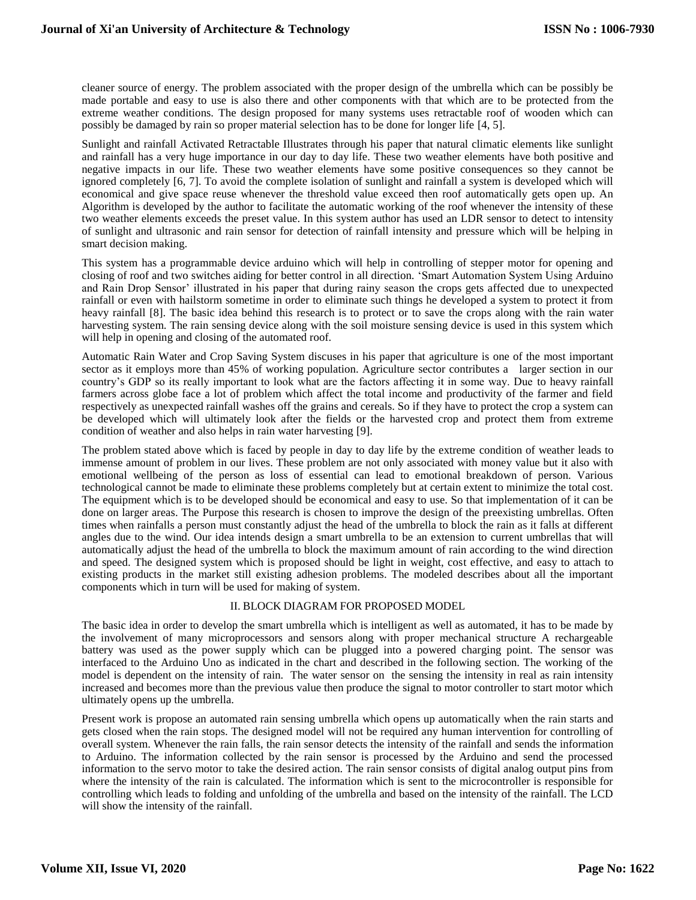cleaner source of energy. The problem associated with the proper design of the umbrella which can be possibly be made portable and easy to use is also there and other components with that which are to be protected from the extreme weather conditions. The design proposed for many systems uses retractable roof of wooden which can possibly be damaged by rain so proper material selection has to be done for longer life [4, 5].

Sunlight and rainfall Activated Retractable Illustrates through his paper that natural climatic elements like sunlight and rainfall has a very huge importance in our day to day life. These two weather elements have both positive and negative impacts in our life. These two weather elements have some positive consequences so they cannot be ignored completely [6, 7]. To avoid the complete isolation of sunlight and rainfall a system is developed which will economical and give space reuse whenever the threshold value exceed then roof automatically gets open up. An Algorithm is developed by the author to facilitate the automatic working of the roof whenever the intensity of these two weather elements exceeds the preset value. In this system author has used an LDR sensor to detect to intensity of sunlight and ultrasonic and rain sensor for detection of rainfall intensity and pressure which will be helping in smart decision making.

This system has a programmable device arduino which will help in controlling of stepper motor for opening and closing of roof and two switches aiding for better control in all direction. 'Smart Automation System Using Arduino and Rain Drop Sensor' illustrated in his paper that during rainy season the crops gets affected due to unexpected rainfall or even with hailstorm sometime in order to eliminate such things he developed a system to protect it from heavy rainfall [8]. The basic idea behind this research is to protect or to save the crops along with the rain water harvesting system. The rain sensing device along with the soil moisture sensing device is used in this system which will help in opening and closing of the automated roof.

Automatic Rain Water and Crop Saving System discuses in his paper that agriculture is one of the most important sector as it employs more than 45% of working population. Agriculture sector contributes a larger section in our country's GDP so its really important to look what are the factors affecting it in some way. Due to heavy rainfall farmers across globe face a lot of problem which affect the total income and productivity of the farmer and field respectively as unexpected rainfall washes off the grains and cereals. So if they have to protect the crop a system can be developed which will ultimately look after the fields or the harvested crop and protect them from extreme condition of weather and also helps in rain water harvesting [9].

The problem stated above which is faced by people in day to day life by the extreme condition of weather leads to immense amount of problem in our lives. These problem are not only associated with money value but it also with emotional wellbeing of the person as loss of essential can lead to emotional breakdown of person. Various technological cannot be made to eliminate these problems completely but at certain extent to minimize the total cost. The equipment which is to be developed should be economical and easy to use. So that implementation of it can be done on larger areas. The Purpose this research is chosen to improve the design of the preexisting umbrellas. Often times when rainfalls a person must constantly adjust the head of the umbrella to block the rain as it falls at different angles due to the wind. Our idea intends design a smart umbrella to be an extension to current umbrellas that will automatically adjust the head of the umbrella to block the maximum amount of rain according to the wind direction and speed. The designed system which is proposed should be light in weight, cost effective, and easy to attach to existing products in the market still existing adhesion problems. The modeled describes about all the important components which in turn will be used for making of system.

#### II. BLOCK DIAGRAM FOR PROPOSED MODEL

The basic idea in order to develop the smart umbrella which is intelligent as well as automated, it has to be made by the involvement of many microprocessors and sensors along with proper mechanical structure A rechargeable battery was used as the power supply which can be plugged into a powered charging point. The sensor was interfaced to the Arduino Uno as indicated in the chart and described in the following section. The working of the model is dependent on the intensity of rain. The water sensor on the sensing the intensity in real as rain intensity increased and becomes more than the previous value then produce the signal to motor controller to start motor which ultimately opens up the umbrella.

Present work is propose an automated rain sensing umbrella which opens up automatically when the rain starts and gets closed when the rain stops. The designed model will not be required any human intervention for controlling of overall system. Whenever the rain falls, the rain sensor detects the intensity of the rainfall and sends the information to Arduino. The information collected by the rain sensor is processed by the Arduino and send the processed information to the servo motor to take the desired action. The rain sensor consists of digital analog output pins from where the intensity of the rain is calculated. The information which is sent to the microcontroller is responsible for controlling which leads to folding and unfolding of the umbrella and based on the intensity of the rainfall. The LCD will show the intensity of the rainfall.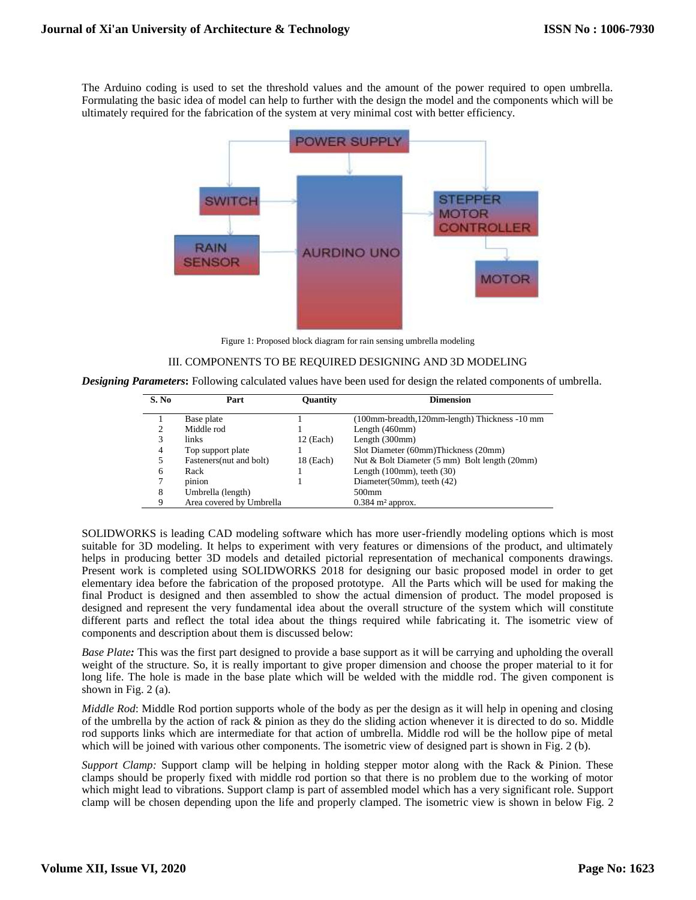The Arduino coding is used to set the threshold values and the amount of the power required to open umbrella. Formulating the basic idea of model can help to further with the design the model and the components which will be ultimately required for the fabrication of the system at very minimal cost with better efficiency.



Figure 1: Proposed block diagram for rain sensing umbrella modeling

#### III. COMPONENTS TO BE REQUIRED DESIGNING AND 3D MODELING

*Designing Parameters***:** Following calculated values have been used for design the related components of umbrella.

| S. No | Part                     | <b>Ouantity</b> | <b>Dimension</b>                               |
|-------|--------------------------|-----------------|------------------------------------------------|
|       | Base plate               |                 | (100mm-breadth, 120mm-length) Thickness -10 mm |
| ∍     | Middle rod               |                 | Length $(460$ mm $)$                           |
| 3     | links.                   | $12$ (Each)     | Length $(300mm)$                               |
| 4     | Top support plate        |                 | Slot Diameter (60mm)Thickness (20mm)           |
| 5.    | Fasteners (nut and bolt) | 18 (Each)       | Nut & Bolt Diameter (5 mm) Bolt length (20mm)  |
| 6     | Rack                     |                 | Length $(100mm)$ , teeth $(30)$                |
|       | pinion                   |                 | Diameter(50mm), teeth (42)                     |
| 8     | Umbrella (length)        |                 | 500 <sub>mm</sub>                              |
| Q     | Area covered by Umbrella |                 | $0.384$ m <sup>2</sup> approx.                 |

SOLIDWORKS is leading CAD modeling software which has more user-friendly modeling options which is most suitable for 3D modeling. It helps to experiment with very features or dimensions of the product, and ultimately helps in producing better 3D models and detailed pictorial representation of mechanical components drawings. Present work is completed using SOLIDWORKS 2018 for designing our basic proposed model in order to get elementary idea before the fabrication of the proposed prototype. All the Parts which will be used for making the final Product is designed and then assembled to show the actual dimension of product. The model proposed is designed and represent the very fundamental idea about the overall structure of the system which will constitute different parts and reflect the total idea about the things required while fabricating it. The isometric view of components and description about them is discussed below:

*Base Plate:* This was the first part designed to provide a base support as it will be carrying and upholding the overall weight of the structure. So, it is really important to give proper dimension and choose the proper material to it for long life. The hole is made in the base plate which will be welded with the middle rod. The given component is shown in Fig. 2 (a).

*Middle Rod*: Middle Rod portion supports whole of the body as per the design as it will help in opening and closing of the umbrella by the action of rack & pinion as they do the sliding action whenever it is directed to do so. Middle rod supports links which are intermediate for that action of umbrella. Middle rod will be the hollow pipe of metal which will be joined with various other components. The isometric view of designed part is shown in Fig. 2 (b).

*Support Clamp:* Support clamp will be helping in holding stepper motor along with the Rack & Pinion. These clamps should be properly fixed with middle rod portion so that there is no problem due to the working of motor which might lead to vibrations. Support clamp is part of assembled model which has a very significant role. Support clamp will be chosen depending upon the life and properly clamped. The isometric view is shown in below Fig. 2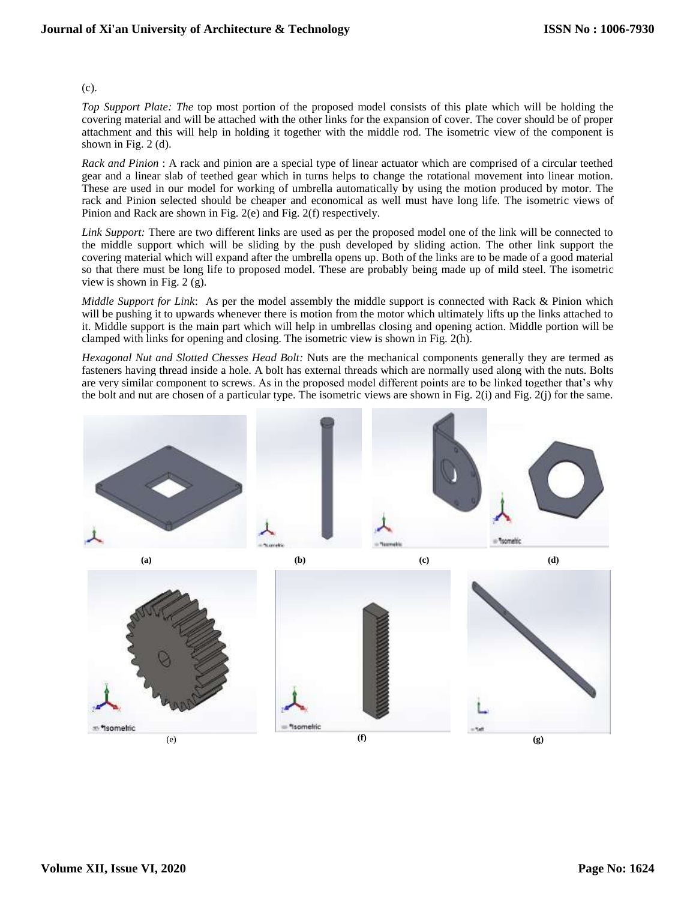#### (c).

*Top Support Plate: The* top most portion of the proposed model consists of this plate which will be holding the covering material and will be attached with the other links for the expansion of cover. The cover should be of proper attachment and this will help in holding it together with the middle rod. The isometric view of the component is shown in Fig. 2 (d).

*Rack and Pinion* : A rack and pinion are a special type of linear actuator which are comprised of a circular teethed gear and a linear slab of teethed gear which in turns helps to change the rotational movement into linear motion. These are used in our model for working of umbrella automatically by using the motion produced by motor. The rack and Pinion selected should be cheaper and economical as well must have long life. The isometric views of Pinion and Rack are shown in Fig. 2(e) and Fig. 2(f) respectively.

*Link Support:* There are two different links are used as per the proposed model one of the link will be connected to the middle support which will be sliding by the push developed by sliding action. The other link support the covering material which will expand after the umbrella opens up. Both of the links are to be made of a good material so that there must be long life to proposed model. These are probably being made up of mild steel. The isometric view is shown in Fig. 2 (g).

*Middle Support for Link*: As per the model assembly the middle support is connected with Rack & Pinion which will be pushing it to upwards whenever there is motion from the motor which ultimately lifts up the links attached to it. Middle support is the main part which will help in umbrellas closing and opening action. Middle portion will be clamped with links for opening and closing. The isometric view is shown in Fig. 2(h).

*Hexagonal Nut and Slotted Chesses Head Bolt:* Nuts are the mechanical components generally they are termed as fasteners having thread inside a hole. A bolt has external threads which are normally used along with the nuts. Bolts are very similar component to screws. As in the proposed model different points are to be linked together that's why the bolt and nut are chosen of a particular type. The isometric views are shown in Fig. 2(i) and Fig. 2(j) for the same.

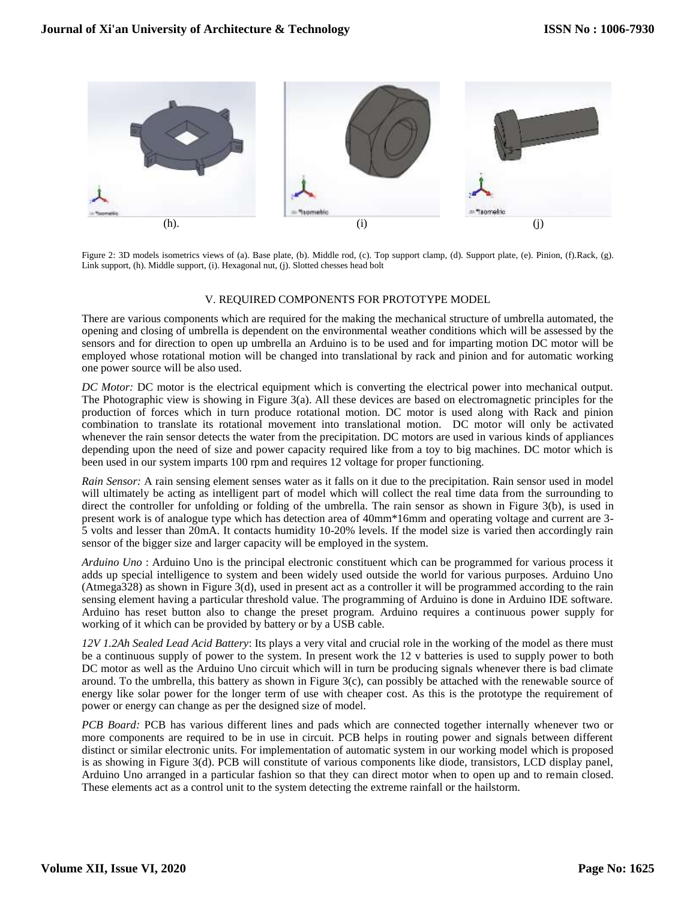

Figure 2: 3D models isometrics views of (a). Base plate, (b). Middle rod, (c). Top support clamp, (d). Support plate, (e). Pinion, (f).Rack, (g). Link support, (h). Middle support, (i). Hexagonal nut, (j). Slotted chesses head bolt

### V. REQUIRED COMPONENTS FOR PROTOTYPE MODEL

There are various components which are required for the making the mechanical structure of umbrella automated, the opening and closing of umbrella is dependent on the environmental weather conditions which will be assessed by the sensors and for direction to open up umbrella an Arduino is to be used and for imparting motion DC motor will be employed whose rotational motion will be changed into translational by rack and pinion and for automatic working one power source will be also used.

*DC Motor: DC motor is the electrical equipment which is converting the electrical power into mechanical output.* The Photographic view is showing in Figure 3(a). All these devices are based on electromagnetic principles for the production of forces which in turn produce rotational motion. DC motor is used along with Rack and pinion combination to translate its rotational movement into translational motion. DC motor will only be activated whenever the rain sensor detects the water from the precipitation. DC motors are used in various kinds of appliances depending upon the need of size and power capacity required like from a toy to big machines. DC motor which is been used in our system imparts 100 rpm and requires 12 voltage for proper functioning.

*Rain Sensor:* A rain sensing element senses water as it falls on it due to the precipitation. Rain sensor used in model will ultimately be acting as intelligent part of model which will collect the real time data from the surrounding to direct the controller for unfolding or folding of the umbrella. The rain sensor as shown in Figure 3(b), is used in present work is of analogue type which has detection area of 40mm\*16mm and operating voltage and current are 3- 5 volts and lesser than 20mA. It contacts humidity 10-20% levels. If the model size is varied then accordingly rain sensor of the bigger size and larger capacity will be employed in the system.

*Arduino Uno* : Arduino Uno is the principal electronic constituent which can be programmed for various process it adds up special intelligence to system and been widely used outside the world for various purposes. Arduino Uno (Atmega328) as shown in Figure 3(d), used in present act as a controller it will be programmed according to the rain sensing element having a particular threshold value. The programming of Arduino is done in Arduino IDE software. Arduino has reset button also to change the preset program. Arduino requires a continuous power supply for working of it which can be provided by battery or by a USB cable.

*12V 1.2Ah Sealed Lead Acid Battery*: Its plays a very vital and crucial role in the working of the model as there must be a continuous supply of power to the system. In present work the 12 v batteries is used to supply power to both DC motor as well as the Arduino Uno circuit which will in turn be producing signals whenever there is bad climate around. To the umbrella, this battery as shown in Figure  $3(c)$ , can possibly be attached with the renewable source of energy like solar power for the longer term of use with cheaper cost. As this is the prototype the requirement of power or energy can change as per the designed size of model.

*PCB Board:* PCB has various different lines and pads which are connected together internally whenever two or more components are required to be in use in circuit. PCB helps in routing power and signals between different distinct or similar electronic units. For implementation of automatic system in our working model which is proposed is as showing in Figure 3(d). PCB will constitute of various components like diode, transistors, LCD display panel, Arduino Uno arranged in a particular fashion so that they can direct motor when to open up and to remain closed. These elements act as a control unit to the system detecting the extreme rainfall or the hailstorm.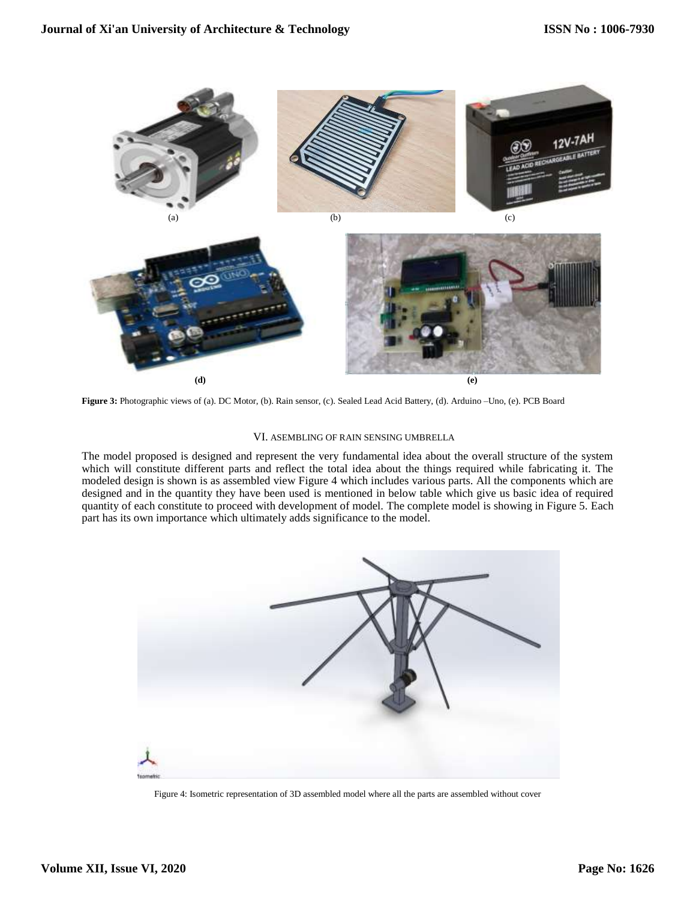

**Figure 3:** Photographic views of (a). DC Motor, (b). Rain sensor, (c). Sealed Lead Acid Battery, (d). Arduino –Uno, (e). PCB Board

#### VI. ASEMBLING OF RAIN SENSING UMBRELLA

The model proposed is designed and represent the very fundamental idea about the overall structure of the system which will constitute different parts and reflect the total idea about the things required while fabricating it. The modeled design is shown is as assembled view Figure 4 which includes various parts. All the components which are designed and in the quantity they have been used is mentioned in below table which give us basic idea of required quantity of each constitute to proceed with development of model. The complete model is showing in Figure 5. Each part has its own importance which ultimately adds significance to the model.



Figure 4: Isometric representation of 3D assembled model where all the parts are assembled without cover